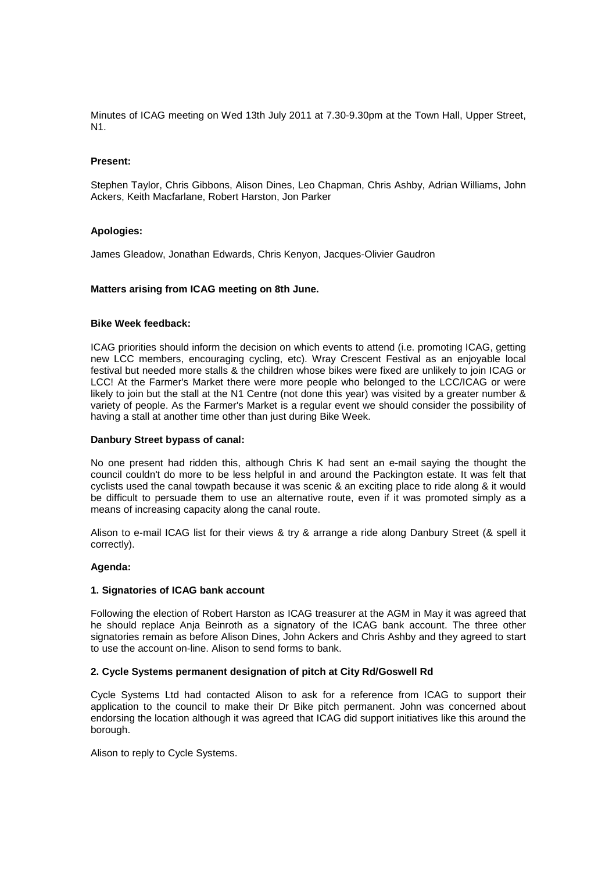Minutes of ICAG meeting on Wed 13th July 2011 at 7.30-9.30pm at the Town Hall, Upper Street, N1.

## **Present:**

Stephen Taylor, Chris Gibbons, Alison Dines, Leo Chapman, Chris Ashby, Adrian Williams, John Ackers, Keith Macfarlane, Robert Harston, Jon Parker

## **Apologies:**

James Gleadow, Jonathan Edwards, Chris Kenyon, Jacques-Olivier Gaudron

# **Matters arising from ICAG meeting on 8th June.**

# **Bike Week feedback:**

ICAG priorities should inform the decision on which events to attend (i.e. promoting ICAG, getting new LCC members, encouraging cycling, etc). Wray Crescent Festival as an enjoyable local festival but needed more stalls & the children whose bikes were fixed are unlikely to join ICAG or LCC! At the Farmer's Market there were more people who belonged to the LCC/ICAG or were likely to join but the stall at the N1 Centre (not done this year) was visited by a greater number & variety of people. As the Farmer's Market is a regular event we should consider the possibility of having a stall at another time other than just during Bike Week.

### **Danbury Street bypass of canal:**

No one present had ridden this, although Chris K had sent an e-mail saying the thought the council couldn't do more to be less helpful in and around the Packington estate. It was felt that cyclists used the canal towpath because it was scenic & an exciting place to ride along & it would be difficult to persuade them to use an alternative route, even if it was promoted simply as a means of increasing capacity along the canal route.

Alison to e-mail ICAG list for their views & try & arrange a ride along Danbury Street (& spell it correctly).

#### **Agenda:**

### **1. Signatories of ICAG bank account**

Following the election of Robert Harston as ICAG treasurer at the AGM in May it was agreed that he should replace Anja Beinroth as a signatory of the ICAG bank account. The three other signatories remain as before Alison Dines, John Ackers and Chris Ashby and they agreed to start to use the account on-line. Alison to send forms to bank.

#### **2. Cycle Systems permanent designation of pitch at City Rd/Goswell Rd**

Cycle Systems Ltd had contacted Alison to ask for a reference from ICAG to support their application to the council to make their Dr Bike pitch permanent. John was concerned about endorsing the location although it was agreed that ICAG did support initiatives like this around the borough.

Alison to reply to Cycle Systems.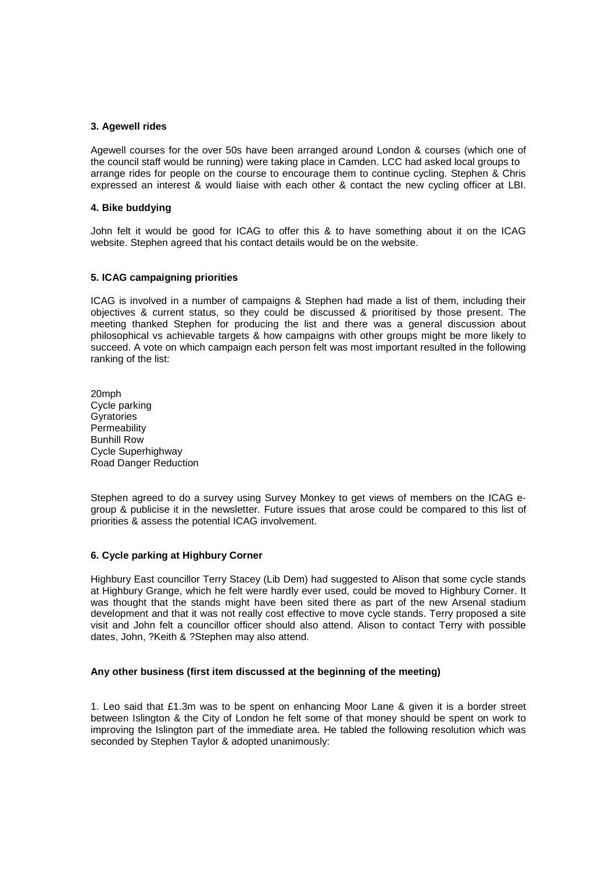## **3. Agewell rides**

Agewell courses for the over 50s have been arranged around London & courses (which one of the council staff would be running) were taking place in Camden. LCC had asked local groups to arrange rides for people on the course to encourage them to continue cycling. Stephen & Chris expressed an interest & would liaise with each other & contact the new cycling officer at LBI.

## **4. Bike buddying**

John felt it would be good for ICAG to offer this & to have something about it on the ICAG website. Stephen agreed that his contact details would be on the website.

## **5. ICAG campaigning priorities**

ICAG is involved in a number of campaigns & Stephen had made a list of them, including their objectives & current status, so they could be discussed & prioritised by those present. The meeting thanked Stephen for producing the list and there was a general discussion about philosophical vs achievable targets & how campaigns with other groups might be more likely to succeed. A vote on which campaign each person felt was most important resulted in the following ranking of the list:

20mph Cycle parking **Gyratories Permeability** Bunhill Row Cycle Superhighway Road Danger Reduction

Stephen agreed to do a survey using Survey Monkey to get views of members on the ICAG egroup & publicise it in the newsletter. Future issues that arose could be compared to this list of priorities & assess the potential ICAG involvement.

#### **6. Cycle parking at Highbury Corner**

Highbury East councillor Terry Stacey (Lib Dem) had suggested to Alison that some cycle stands at Highbury Grange, which he felt were hardly ever used, could be moved to Highbury Corner. It was thought that the stands might have been sited there as part of the new Arsenal stadium development and that it was not really cost effective to move cycle stands. Terry proposed a site visit and John felt a councillor officer should also attend. Alison to contact Terry with possible dates, John, ?Keith & ?Stephen may also attend.

# **Any other business (first item discussed at the beginning of the meeting)**

1. Leo said that £1.3m was to be spent on enhancing Moor Lane & given it is a border street between Islington & the City of London he felt some of that money should be spent on work to improving the Islington part of the immediate area. He tabled the following resolution which was seconded by Stephen Taylor & adopted unanimously: